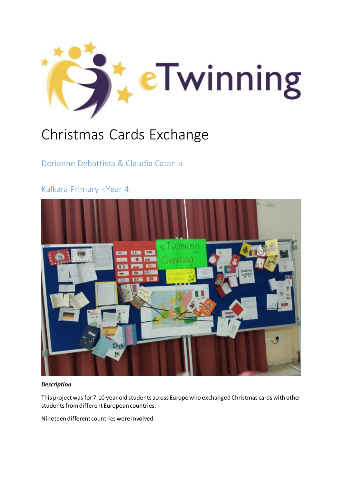

# Christmas Cards Exchange

# Dorianne Debattista & Claudia Catania

## Kalkara Primary - Year 4



## *Description*

This project was for 7-10 year old students across Europe who exchanged Christmas cards with other students from different European countries.

Nineteen different countries were involved.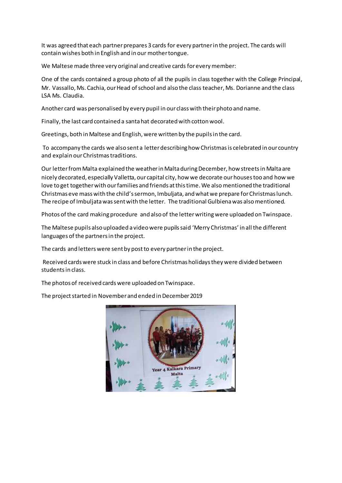It was agreed that each partner prepares 3 cards for every partner in the project. The cards will contain wishes both in English and in our mother tongue.

We Maltese made three very original and creative cards for every member:

One of the cards contained a group photo of all the pupils in class together with the College Principal, Mr. Vassallo, Ms. Cachia, our Head of school and also the class teacher, Ms. Dorianne and the class LSA Ms. Claudia.

Another card was personalised by every pupil in our class with their photo and name.

Finally, the last card contained a santa hat decorated with cotton wool.

Greetings, both in Maltese and English, were written by the pupils in the card.

To accompany the cards we also sent a letter describing how Christmas is celebrated in our country and explain our Christmas traditions.

Our letter from Malta explained the weather in Malta during December, how streets in Malta are nicely decorated, especially Valletta, our capital city, how we decorate our houses too and how we love to get together with our families and friends at this time. We also mentioned the traditional Christmas eve mass with the child's sermon, Imbuljata, and what we prepare for Christmas lunch. The recipe of Imbuljata was sent with the letter. The traditional Gulbiena was also mentioned.

Photos of the card making procedure and also of the letter writing were uploaded on Twinspace.

The Maltese pupils also uploaded a video were pupils said 'Merry Christmas' in all the different languages of the partners in the project.

The cards and letters were sent by post to every partner in the project.

Received cards were stuck in class and before Christmas holidays they were divided between students in class.

The photos of received cards were uploaded on Twinspace.

The project started in November and ended in December 2019

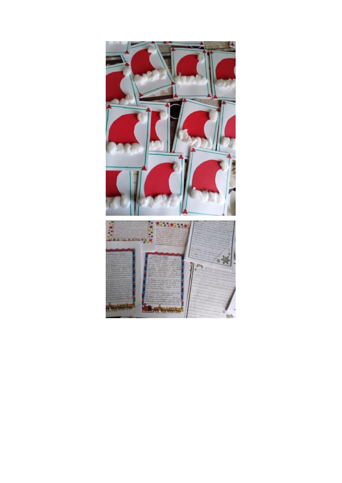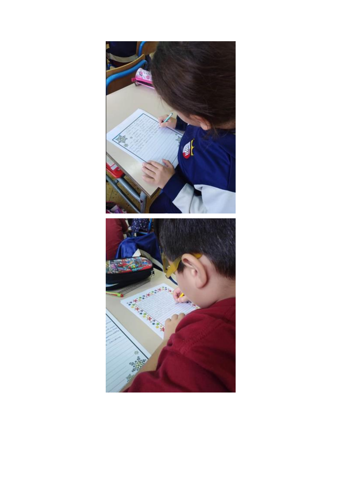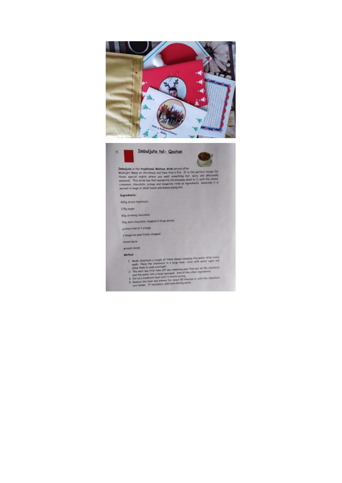

### Imbuljuta tal- Qastan



**Embuljuta** is the traditional Maltese draw learned after<br>Midnight Mass we Christmas and New Your's Eve. It is the perfect reside for<br>those special rights: where you want sometimy helt, specy and delicated<br>those special c

#### Ingredients

W.

400g dried chestnuts

175g mayo

50g drinking chocolate

50g dark chocolate chopped in large pieces

grated real of 1 orange

I tongerine post finally chapped

 $\sin\alpha t$  spice

ground closes

#### Method

 $\begin{tabular}{p{0.85\textwidth}}p{1. \text{West} } \textbf{Weish } \textbf{c}~\textbf{desprints}~\textbf{u}~\textbf{c}~\textbf{c}~\textbf{c}~\textbf{c}~\textbf{c}~\textbf{c}~\textbf{c}~\textbf{c}~\textbf{c}~\textbf{c}~\textbf{c}~\textbf{c}~\textbf{c}~\textbf{c}~\textbf{c}~\textbf{c}~\textbf{c}~\textbf{c}~\textbf{c}~\textbf{c}~\textbf{c}~\textbf{c}~\textbf{c}~\textbf{$ 

- 
- 
-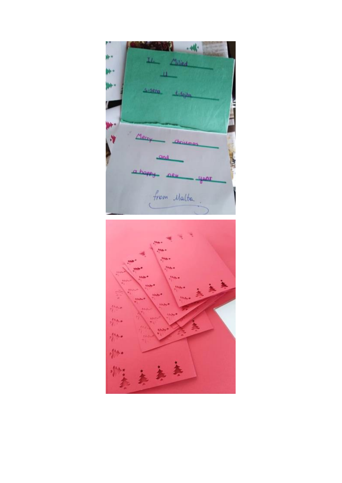